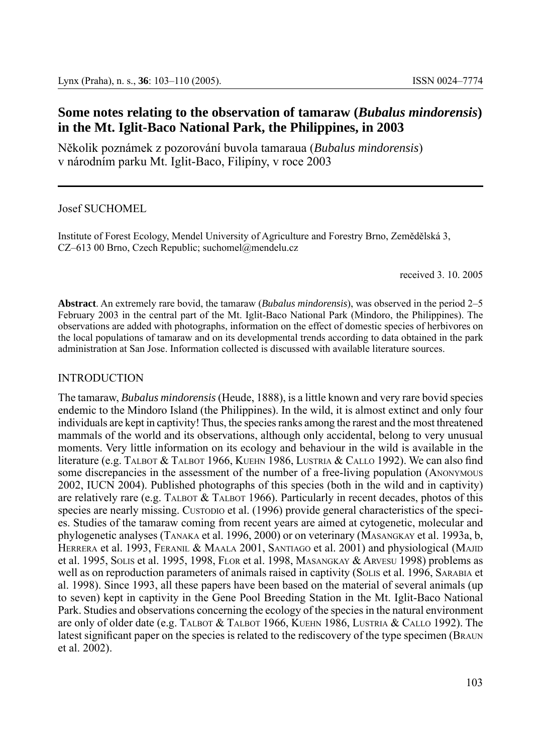# **Some notes relating to the observation of tamaraw (***Bubalus mindorensis***) in the Mt. Iglit-Baco National Park, the Philippines, in 2003**

Několik poznámek z pozorování buvola tamaraua (*Bubalus mindorensis*) v národním parku Mt. Iglit-Baco, Filipíny, v roce 2003

#### Josef SUCHOMEL

Institute of Forest Ecology, Mendel University of Agriculture and Forestry Brno, Zemědělská 3, CZ–613 00 Brno, Czech Republic; suchomel@mendelu.cz

received 3. 10. 2005

**Abstract**. An extremely rare bovid, the tamaraw (*Bubalus mindorensis*), was observed in the period 2–5 February 2003 in the central part of the Mt. Iglit-Baco National Park (Mindoro, the Philippines). The observations are added with photographs, information on the effect of domestic species of herbivores on the local populations of tamaraw and on its developmental trends according to data obtained in the park administration at San Jose. Information collected is discussed with available literature sources.

# INTRODUCTION

The tamaraw, *Bubalus mindorensis* (Heude, 1888), is a little known and very rare bovid species endemic to the Mindoro Island (the Philippines). In the wild, it is almost extinct and only four individuals are kept in captivity! Thus, the species ranks among the rarest and the most threatened mammals of the world and its observations, although only accidental, belong to very unusual moments. Very little information on its ecology and behaviour in the wild is available in the literature (e.g. TALBOT & TALBOT 1966, KUEHN 1986, LUSTRIA & CALLO 1992). We can also find some discrepancies in the assessment of the number of a free-living population (ANONYMOUS 2002, IUCN 2004). Published photographs of this species (both in the wild and in captivity) are relatively rare (e.g. TALBOT  $&$  TALBOT 1966). Particularly in recent decades, photos of this species are nearly missing. Custopho et al. (1996) provide general characteristics of the species. Studies of the tamaraw coming from recent years are aimed at cytogenetic, molecular and phylogenetic analyses (TANAKA et al. 1996, 2000) or on veterinary (MASANGKAY et al. 1993a, b, HERRERA et al. 1993, FERANIL & MAALA 2001, SANTIAGO et al. 2001) and physiological (MAJID et al. 1995, SOLIS et al. 1995, 1998, FLOR et al. 1998, MASANGKAY & ARVESU 1998) problems as well as on reproduction parameters of animals raised in captivity (Sollis et al. 1996, SARABIA et al. 1998). Since 1993, all these papers have been based on the material of several animals (up to seven) kept in captivity in the Gene Pool Breeding Station in the Mt. Iglit-Baco National Park. Studies and observations concerning the ecology of the species in the natural environment are only of older date (e.g. TALBOT & TALBOT 1966, KUEHN 1986, LUSTRIA & CALLO 1992). The latest significant paper on the species is related to the rediscovery of the type specimen (BRAUN et al. 2002).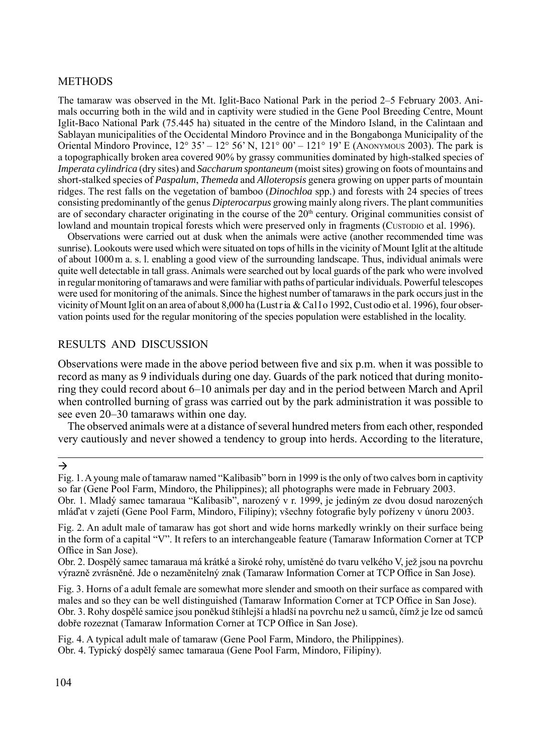# **METHODS**

The tamaraw was observed in the Mt. Iglit-Baco National Park in the period 2–5 February 2003. Animals occurring both in the wild and in captivity were studied in the Gene Pool Breeding Centre, Mount Iglit-Baco National Park (75.445 ha) situated in the centre of the Mindoro Island, in the Calintaan and Sablayan municipalities of the Occidental Mindoro Province and in the Bongabonga Municipality of the Oriental Mindoro Province,  $12^{\circ} 35' - 12^{\circ} 56' N$ ,  $121^{\circ} 00' - 121^{\circ} 19' E$  (ANONYMOUS 2003). The park is a topographically broken area covered 90% by grassy communities dominated by high-stalked species of *Imperata cylindrica* (dry sites) and *Saccharum spontaneum* (moist sites) growing on foots of mountains and short-stalked species of *Paspalum*, *Themeda* and *Alloteropsis* genera growing on upper parts of mountain ridges. The rest falls on the vegetation of bamboo (*Dinochloa* spp.) and forests with 24 species of trees consisting predominantly of the genus *Dipterocarpus* growing mainly along rivers. The plant communities are of secondary character originating in the course of the  $20<sup>th</sup>$  century. Original communities consist of lowland and mountain tropical forests which were preserved only in fragments (CUSTODIO et al. 1996).

Observations were carried out at dusk when the animals were active (another recommended time was sunrise). Lookouts were used which were situated on tops of hills in the vicinity of Mount Iglit at the altitude of about 1000 m a. s. l. enabling a good view of the surrounding landscape. Thus, individual animals were quite well detectable in tall grass. Animals were searched out by local guards of the park who were involved in regular monitoring of tamaraws and were familiar with paths of particular individuals. Powerful telescopes were used for monitoring of the animals. Since the highest number of tamaraws in the park occurs just in the vicinity of Mount Iglit on an area of about 8,000 ha (Lust ria & Call o 1992, Custodio et al. 1996), four observation points used for the regular monitoring of the species population were established in the locality.

# RESULTS AND DISCUSSION

Observations were made in the above period between five and six p.m. when it was possible to record as many as 9 individuals during one day. Guards of the park noticed that during monitoring they could record about 6–10 animals per day and in the period between March and April when controlled burning of grass was carried out by the park administration it was possible to see even 20–30 tamaraws within one day.

The observed animals were at a distance of several hundred meters from each other, responded very cautiously and never showed a tendency to group into herds. According to the literature,

# $\rightarrow$

Fig. 3. Horns of a adult female are somewhat more slender and smooth on their surface as compared with males and so they can be well distinguished (Tamaraw Information Corner at TCP Office in San Jose). Obr. 3. Rohy dospělé samice jsou poněkud štíhlejší a hladší na povrchu než u samců, čímž je lze od samců dobře rozeznat (Tamaraw Information Corner at TCP Office in San Jose).

Fig. 4. A typical adult male of tamaraw (Gene Pool Farm, Mindoro, the Philippines). Obr. 4. Typický dospělý samec tamaraua (Gene Pool Farm, Mindoro, Filipíny).

Fig. 1. A young male of tamaraw named "Kalibasib" born in 1999 is the only of two calves born in captivity so far (Gene Pool Farm, Mindoro, the Philippines); all photographs were made in February 2003. Obr. 1. Mladý samec tamaraua "Kalibasib", narozený v r. 1999, je jediným ze dvou dosud narozených

mláďat v zajetí (Gene Pool Farm, Mindoro, Filipíny); všechny fotografie byly pořízeny v únoru 2003. Fig. 2. An adult male of tamaraw has got short and wide horns markedly wrinkly on their surface being

in the form of a capital "V". It refers to an interchangeable feature (Tamaraw Information Corner at TCP Office in San Jose).

Obr. 2. Dospělý samec tamaraua má krátké a široké rohy, umístěné do tvaru velkého V, jež jsou na povrchu výrazně zvrásněné. Jde o nezaměnitelný znak (Tamaraw Information Corner at TCP Office in San Jose).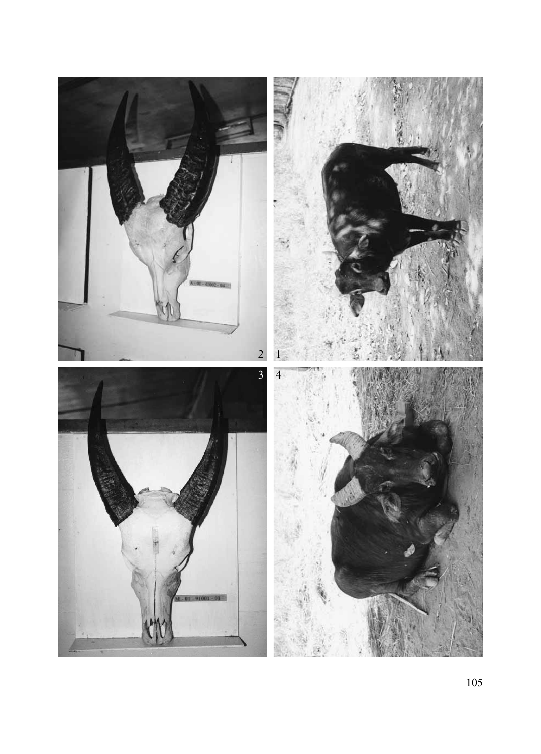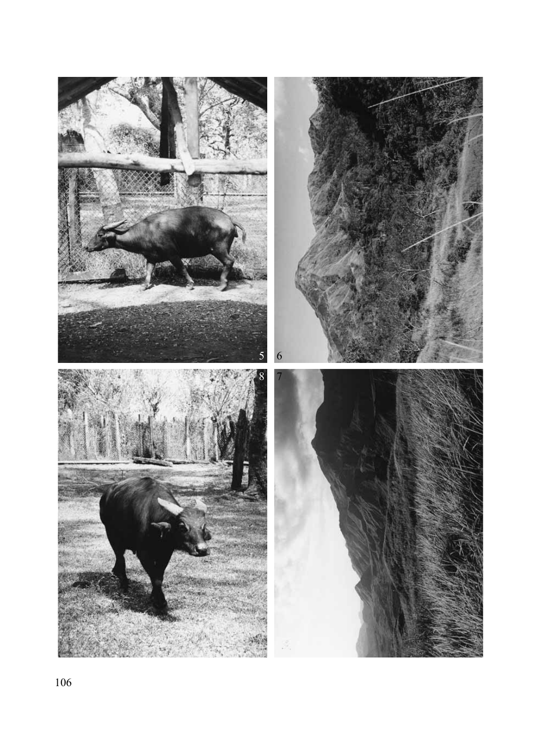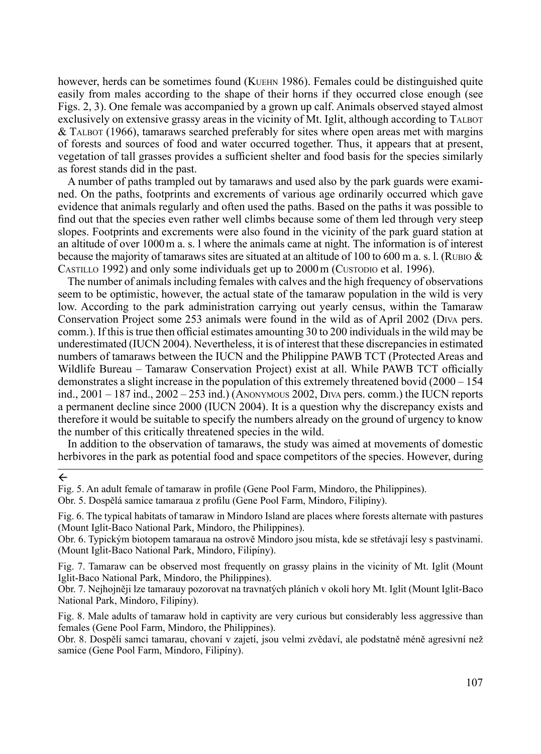however, herds can be sometimes found (KUEHN 1986). Females could be distinguished quite easily from males according to the shape of their horns if they occurred close enough (see Figs. 2, 3). One female was accompanied by a grown up calf. Animals observed stayed almost exclusively on extensive grassy areas in the vicinity of Mt. Iglit, although according to TALBOT & TALBOT (1966), tamaraws searched preferably for sites where open areas met with margins of forests and sources of food and water occurred together. Thus, it appears that at present, vegetation of tall grasses provides a sufficient shelter and food basis for the species similarly as forest stands did in the past.

A number of paths trampled out by tamaraws and used also by the park guards were examined. On the paths, footprints and excrements of various age ordinarily occurred which gave evidence that animals regularly and often used the paths. Based on the paths it was possible to find out that the species even rather well climbs because some of them led through very steep slopes. Footprints and excrements were also found in the vicinity of the park guard station at an altitude of over 1000 m a. s. l where the animals came at night. The information is of interest because the majority of tamaraws sites are situated at an altitude of 100 to 600 m a. s. l. (RUBIO  $&$ CASTILLO 1992) and only some individuals get up to 2000 m (CUSTODIO et al. 1996).

The number of animals including females with calves and the high frequency of observations seem to be optimistic, however, the actual state of the tamaraw population in the wild is very low. According to the park administration carrying out yearly census, within the Tamaraw Conservation Project some 253 animals were found in the wild as of April 2002 (DIVA pers. comm.). If this is true then official estimates amounting 30 to 200 individuals in the wild may be underestimated (IUCN 2004). Nevertheless, it is of interest that these discrepancies in estimated numbers of tamaraws between the IUCN and the Philippine PAWB TCT (Protected Areas and Wildlife Bureau – Tamaraw Conservation Project) exist at all. While PAWB TCT officially demonstrates a slight increase in the population of this extremely threatened bovid (2000 – 154 ind., 2001 – 187 ind., 2002 – 253 ind.) (ANONYMOUS 2002, DIVA pers. comm.) the IUCN reports a permanent decline since 2000 (IUCN 2004). It is a question why the discrepancy exists and therefore it would be suitable to specify the numbers already on the ground of urgency to know the number of this critically threatened species in the wild.

In addition to the observation of tamaraws, the study was aimed at movements of domestic herbivores in the park as potential food and space competitors of the species. However, during

#### $\leftarrow$

Obr. 5. Dospělá samice tamaraua z profilu (Gene Pool Farm, Mindoro, Filipíny).

Fig. 6. The typical habitats of tamaraw in Mindoro Island are places where forests alternate with pastures (Mount Iglit-Baco National Park, Mindoro, the Philippines).

Obr. 6. Typickým biotopem tamaraua na ostrově Mindoro jsou místa, kde se střetávají lesy s pastvinami. (Mount Iglit-Baco National Park, Mindoro, Filipíny).

Fig. 7. Tamaraw can be observed most frequently on grassy plains in the vicinity of Mt. Iglit (Mount Iglit-Baco National Park, Mindoro, the Philippines).

Obr. 7. Nejhojněji lze tamarauy pozorovat na travnatých pláních v okolí hory Mt. Iglit (Mount Iglit-Baco National Park, Mindoro, Filipíny).

Fig. 8. Male adults of tamaraw hold in captivity are very curious but considerably less aggressive than females (Gene Pool Farm, Mindoro, the Philippines).

Obr. 8. Dospělí samci tamarau, chovaní v zajetí, jsou velmi zvědaví, ale podstatně méně agresivní než samice (Gene Pool Farm, Mindoro, Filipíny).

Fig. 5. An adult female of tamaraw in profile (Gene Pool Farm, Mindoro, the Philippines).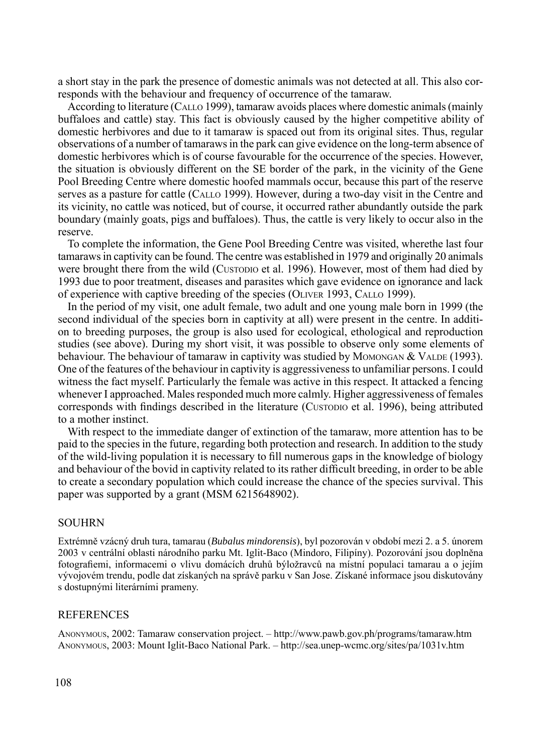a short stay in the park the presence of domestic animals was not detected at all. This also corresponds with the behaviour and frequency of occurrence of the tamaraw.

According to literature (CALLO 1999), tamaraw avoids places where domestic animals (mainly buffaloes and cattle) stay. This fact is obviously caused by the higher competitive ability of domestic herbivores and due to it tamaraw is spaced out from its original sites. Thus, regular observations of a number of tamaraws in the park can give evidence on the long-term absence of domestic herbivores which is of course favourable for the occurrence of the species. However, the situation is obviously different on the SE border of the park, in the vicinity of the Gene Pool Breeding Centre where domestic hoofed mammals occur, because this part of the reserve serves as a pasture for cattle (CALLO 1999). However, during a two-day visit in the Centre and its vicinity, no cattle was noticed, but of course, it occurred rather abundantly outside the park boundary (mainly goats, pigs and buffaloes). Thus, the cattle is very likely to occur also in the reserve.

To complete the information, the Gene Pool Breeding Centre was visited, wherethe last four tamaraws in captivity can be found. The centre was established in 1979 and originally 20 animals were brought there from the wild (CUSTODIO et al. 1996). However, most of them had died by 1993 due to poor treatment, diseases and parasites which gave evidence on ignorance and lack of experience with captive breeding of the species (OLIVER 1993, CALLO 1999).

In the period of my visit, one adult female, two adult and one young male born in 1999 (the second individual of the species born in captivity at all) were present in the centre. In addition to breeding purposes, the group is also used for ecological, ethological and reproduction studies (see above). During my short visit, it was possible to observe only some elements of behaviour. The behaviour of tamaraw in captivity was studied by MOMONGAN  $&$  VALDE (1993). One of the features of the behaviour in captivity is aggressiveness to unfamiliar persons. I could witness the fact myself. Particularly the female was active in this respect. It attacked a fencing whenever I approached. Males responded much more calmly. Higher aggressiveness of females corresponds with findings described in the literature (CUSTODIO et al. 1996), being attributed to a mother instinct.

With respect to the immediate danger of extinction of the tamaraw, more attention has to be paid to the species in the future, regarding both protection and research. In addition to the study of the wild-living population it is necessary to fill numerous gaps in the knowledge of biology and behaviour of the bovid in captivity related to its rather difficult breeding, in order to be able to create a secondary population which could increase the chance of the species survival. This paper was supported by a grant (MSM 6215648902).

#### SOUHRN

Extrémně vzácný druh tura, tamarau (*Bubalus mindorensis*), byl pozorován v období mezi 2. a 5. únorem 2003 v centrální oblasti národního parku Mt. Iglit-Baco (Mindoro, Filipíny). Pozorování jsou doplněna fotografiemi, informacemi o vlivu domácích druhů býložravců na místní populaci tamarau a o jejím vývojovém trendu, podle dat získaných na správě parku v San Jose. Získané informace jsou diskutovány s dostupnými literárními prameny.

#### REFERENCES

ANONYMOUS, 2002: Tamaraw conservation project. – http://www.pawb.gov.ph/programs/tamaraw.htm ANONYMOUS, 2003: Mount Iglit-Baco National Park. – http://sea.unep-wcmc.org/sites/pa/1031v.htm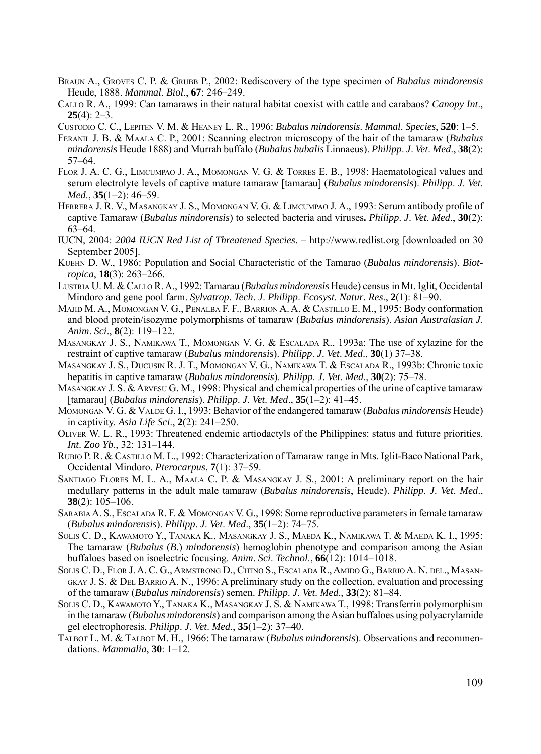- BRAUN A., GROVES C. P. & GRUBB P., 2002: Rediscovery of the type specimen of *Bubalus mindorensis* Heude, 1888. *Mammal*. *Biol*., **67**: 246–249.
- CALLO R. A., 1999: Can tamaraws in their natural habitat coexist with cattle and carabaos? *Canopy Int*., **25**(4): 2–3.
- CUSTODIO C. C., LEPITEN V. M. & HEANEY L. R., 1996: *Bubalus mindorensis*. *Mammal*. *Species*, **520**: 1–5.
- FERANIL J. B. & MAALA C. P., 2001: Scanning electron microscopy of the hair of the tamaraw (*Bubalus mindorensis* Heude 1888) and Murrah buffalo (*Bubalus bubalis* Linnaeus). *Philipp*. *J*. *Vet*. *Med*., **38**(2): 57–64.
- FLOR J. A. C. G., LIMCUMPAO J. A., MOMONGAN V. G. & TORRES E. B., 1998: Haematological values and serum electrolyte levels of captive mature tamaraw [tamarau] (*Bubalus mindorensis*). *Philipp*. *J*. *Vet*. *Med*., **35**(1–2): 46–59.
- HERRERA J. R. V., MASANGKAY J. S., MOMONGAN V. G. & LIMCUMPAO J. A., 1993: Serum antibody profile of captive Tamaraw (*Bubalus mindorensis*) to selected bacteria and viruses**.** *Philipp*. *J*. *Vet*. *Med*., **30**(2): 63–64.
- IUCN, 2004: *2004 IUCN Red List of Threatened Species*. http://www.redlist.org [downloaded on 30 September 2005].
- KUEHN D. W., 1986: Population and Social Characteristic of the Tamarao (*Bubalus mindorensis*). *Biotropica*, **18**(3): 263–266.
- LUSTRIA U. M. & CALLO R. A., 1992: Tamarau (*Bubalus mindorensis* Heude) census in Mt. Iglit, Occidental Mindoro and gene pool farm. *Sylvatrop*. *Tech*. *J*. *Philipp*. *Ecosyst*. *Natur*. *Res*., **2**(1): 81–90.
- MAJID M. A., MOMONGAN V. G., PENALBA F. F., BARRION A. A. & CASTILLO E. M., 1995: Body conformation and blood protein/isozyme polymorphisms of tamaraw (*Bubalus mindorensis*). *Asian Australasian J*. *Anim*. *Sci*., **8**(2): 119–122.
- MASANGKAY J. S., NAMIKAWA T., MOMONGAN V. G. & ESCALADA R., 1993a: The use of xylazine for the restraint of captive tamaraw (*Bubalus mindorensis*). *Philipp*. *J*. *Vet*. *Med*., **30**(1) 37–38.
- MASANGKAY J. S., DUCUSIN R. J. T., MOMONGAN V. G., NAMIKAWA T. & ESCALADA R., 1993b: Chronic toxic hepatitis in captive tamaraw (*Bubalus mindorensis*). *Philipp*. *J*. *Vet*. *Med*., **30**(2): 75–78.
- MASANGKAY J. S. & ARVESU G. M., 1998: Physical and chemical properties of the urine of captive tamaraw [tamarau] (*Bubalus mindorensis*). *Philipp*. *J*. *Vet*. *Med*., **35**(1–2): 41–45.
- MOMONGAN V. G. & VALDE G. I., 1993: Behavior of the endangered tamaraw (*Bubalus mindorensis* Heude) in captivity. *Asia Life Sci*., **2**(2): 241–250.
- OLIVER W. L. R., 1993: Threatened endemic artiodactyls of the Philippines: status and future priorities. *Int*. *Zoo Yb*., 32: 131–144.
- RUBIO P. R. & CASTILLO M. L., 1992: Characterization of Tamaraw range in Mts. Iglit-Baco National Park, Occidental Mindoro. *Pterocarpus*, **7**(1): 37–59.
- SANTIAGO FLORES M. L. A., MAALA C. P. & MASANGKAY J. S., 2001: A preliminary report on the hair medullary patterns in the adult male tamaraw (*Bubalus mindorensis*, Heude). *Philipp*. *J*. *Vet*. *Med*., **38**(2): 105–106.
- SARABIA A. S., ESCALADA R. F. & MOMONGAN V. G., 1998: Some reproductive parameters in female tamaraw (*Bubalus mindorensis*). *Philipp*. *J*. *Vet*. *Med*., **35**(1–2): 74–75.
- SOLIS C. D., KAWAMOTO Y., TANAKA K., MASANGKAY J. S., MAEDA K., NAMIKAWA T. & MAEDA K. I., 1995: The tamaraw (*Bubalus* (*B*.) *mindorensis*) hemoglobin phenotype and comparison among the Asian buffaloes based on isoelectric focusing. *Anim*. *Sci*. *Technol*., **66**(12): 1014–1018.
- SOLIS C. D., FLOR J. A. C. G., ARMSTRONG D., CITINO S., ESCALADA R., AMIDO G., BARRIO A. N. DEL., MASAN-GKAY J. S. & DEL BARRIO A. N., 1996: A preliminary study on the collection, evaluation and processing of the tamaraw (*Bubalus mindorensis*) semen. *Philipp*. *J*. *Vet*. *Med*., **33**(2): 81–84.
- SOLIS C. D., KAWAMOTO Y., TANAKA K., MASANGKAY J. S. & NAMIKAWA T., 1998: Transferrin polymorphism in the tamaraw (*Bubalus mindorensis*) and comparison among the Asian buffaloes using polyacrylamide gel electrophoresis. *Philipp*. *J*. *Vet*. *Med*., **35**(1–2): 37–40.
- TALBOT L. M. & TALBOT M. H., 1966: The tamaraw (*Bubalus mindorensis*). Observations and recommendations. *Mammalia*, **30**: 1–12.